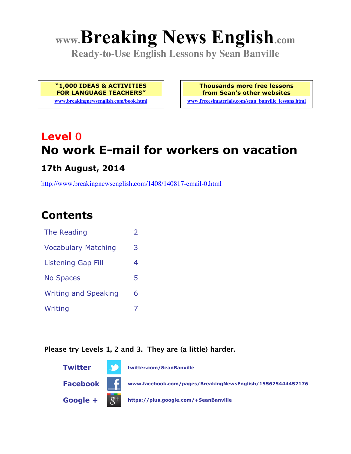# **www.Breaking News English.com**

**Ready-to-Use English Lessons by Sean Banville**

**"1,000 IDEAS & ACTIVITIES FOR LANGUAGE TEACHERS" www.breakingnewsenglish.com/book.html** **Thousands more free lessons from Sean's other websites**

**www.freeeslmaterials.com/sean\_banville\_lessons.html**

# **Level 0 No work E-mail for workers on vacation**

#### **17th August, 2014**

http://www.breakingnewsenglish.com/1408/140817-email-0.html

# **Contents**

| The Reading                 |   |
|-----------------------------|---|
| <b>Vocabulary Matching</b>  | 3 |
| <b>Listening Gap Fill</b>   | 4 |
| <b>No Spaces</b>            | 5 |
| <b>Writing and Speaking</b> | 6 |
| Writing                     |   |

#### **Please try Levels 1, 2 and 3. They are (a little) harder.**

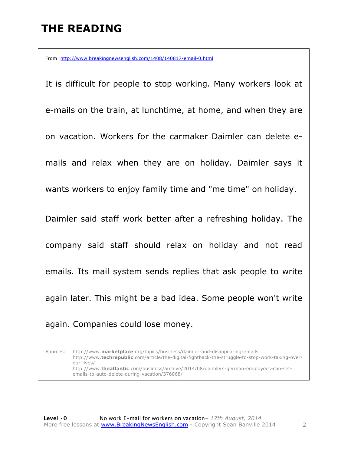## **THE READING**

From http://www.breakingnewsenglish.com/1408/140817-email-0.html

It is difficult for people to stop working. Many workers look at e-mails on the train, at lunchtime, at home, and when they are on vacation. Workers for the carmaker Daimler can delete emails and relax when they are on holiday. Daimler says it wants workers to enjoy family time and "me time" on holiday. Daimler said staff work better after a refreshing holiday. The company said staff should relax on holiday and not read emails. Its mail system sends replies that ask people to write again later. This might be a bad idea. Some people won't write again. Companies could lose money.

Sources: http://www.**marketplace**.org/topics/business/daimler-and-disappearing-emails http://www.**techrepublic**.com/article/the-digital-fightback-the-struggle-to-stop-work-taking-overour-lives/ http://www.**theatlantic**.com/business/archive/2014/08/daimlers-german-employees-can-setemails-to-auto-delete-during-vacation/376068/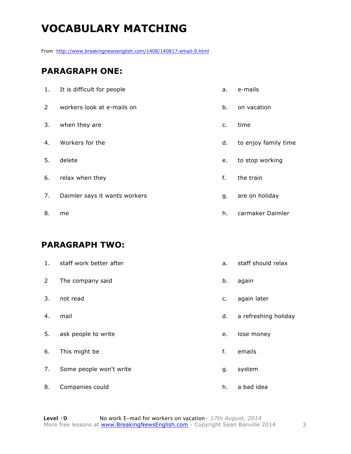# **VOCABULARY MATCHING**

From http://www.breakingnewsenglish.com/1408/140817-email-0.html

#### **PARAGRAPH ONE:**

| 1.             | It is difficult for people    | а.             | e-mails              |
|----------------|-------------------------------|----------------|----------------------|
| $\overline{2}$ | workers look at e-mails on    | b.             | on vacation          |
| 3.             | when they are                 | $\mathsf{C}$ . | time                 |
| 4.             | Workers for the               | d.             | to enjoy family time |
| 5.             | delete                        | e.             | to stop working      |
| 6.             | relax when they               | f.             | the train            |
| 7.             | Daimler says it wants workers | g.             | are on holiday       |
| 8.             | me                            | h.             | carmaker Daimler     |

#### **PARAGRAPH TWO:**

| 1.             | staff work better after | a. | staff should relax   |
|----------------|-------------------------|----|----------------------|
| $\overline{2}$ | The company said        | b. | again                |
| 3.             | not read                | c. | again later          |
| 4.             | mail                    | d. | a refreshing holiday |
| 5.             | ask people to write     | e. | lose money           |
| 6.             | This might be           | f. | emails               |
| 7.             | Some people won't write | g. | system               |
| 8.             | Companies could         | h. | a bad idea           |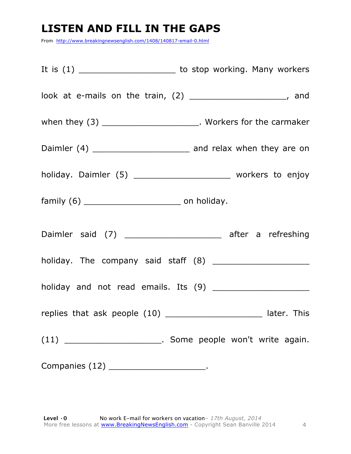### **LISTEN AND FILL IN THE GAPS**

From http://www.breakingnewsenglish.com/1408/140817-email-0.html

| look at e-mails on the train, (2) ______________________, and        |
|----------------------------------------------------------------------|
| when they $(3)$ __________________________. Workers for the carmaker |
|                                                                      |
| holiday. Daimler (5) _________________________ workers to enjoy      |
|                                                                      |
| Daimler said (7) _________________________ after a refreshing        |
|                                                                      |
| holiday and not read emails. Its (9) _______________________         |
| replies that ask people (10) ________________________ later. This    |
| $(11)$ ________________________. Some people won't write again.      |
| Companies (12) _____________________________.                        |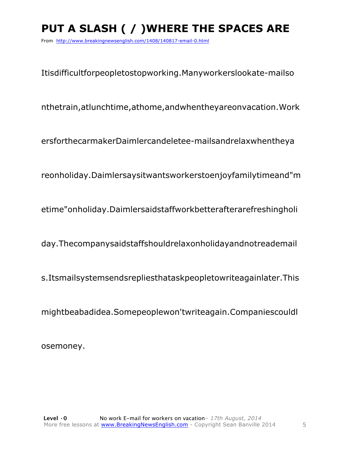# **PUT A SLASH ( / )WHERE THE SPACES ARE**

From http://www.breakingnewsenglish.com/1408/140817-email-0.html

Itisdifficultforpeopletostopworking.Manyworkerslookate-mailso

nthetrain,atlunchtime,athome,andwhentheyareonvacation.Work

ersforthecarmakerDaimlercandeletee-mailsandrelaxwhentheya

reonholiday.Daimlersaysitwantsworkerstoenjoyfamilytimeand"m

etime"onholiday.Daimlersaidstaffworkbetterafterarefreshingholi

day.Thecompanysaidstaffshouldrelaxonholidayandnotreademail

s.Itsmailsystemsendsrepliesthataskpeopletowriteagainlater.This

mightbeabadidea.Somepeoplewon'twriteagain.Companiescouldl

osemoney.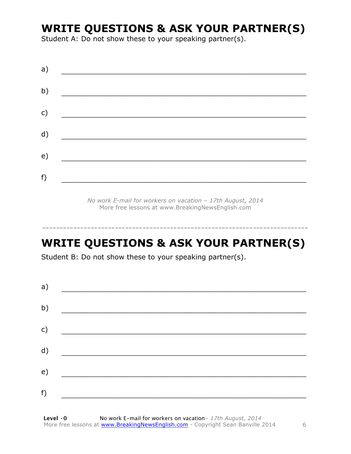### **WRITE QUESTIONS & ASK YOUR PARTNER(S)**

Student A: Do not show these to your speaking partner(s).

| a) |  |  |  |
|----|--|--|--|
| b) |  |  |  |
| c) |  |  |  |
| d) |  |  |  |
| e) |  |  |  |
| f) |  |  |  |

*No work E-mail for workers on vacation – 17th August, 2014* More free lessons at www.BreakingNewsEnglish.com

## **WRITE QUESTIONS & ASK YOUR PARTNER(S)**

-----------------------------------------------------------------------------

Student B: Do not show these to your speaking partner(s).

| a) |  |  |
|----|--|--|
| b) |  |  |
| c) |  |  |
| d) |  |  |
| e) |  |  |
| f) |  |  |
|    |  |  |